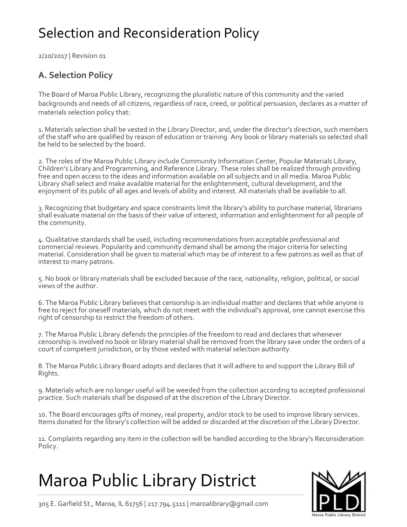## Selection and Reconsideration Policy

2/20/2017 | Revision 01

### **A. Selection Policy**

The Board of Maroa Public Library, recognizing the pluralistic nature of this community and the varied backgrounds and needs of all citizens, regardless of race, creed, or political persuasion, declares as a matter of materials selection policy that:

1. Materials selection shall be vested in the Library Director, and, under the director's direction, such members of the staff who are qualified by reason of education or training. Any book or library materials so selected shall be held to be selected by the board.

2. The roles of the Maroa Public Library include Community Information Center, Popular Materials Library, Children's Library and Programming, and Reference Library. These roles shall be realized through providing free and open access to the ideas and information available on all subjects and in all media. Maroa Public Library shall select and make available material for the enlightenment, cultural development, and the enjoyment of its public of all ages and levels of ability and interest. All materials shall be available to all.

3. Recognizing that budgetary and space constraints limit the library's ability to purchase material, librarians shall evaluate material on the basis of their value of interest, information and enlightenment for all people of the community.

4. Qualitative standards shall be used, including recommendations from acceptable professional and commercial reviews. Popularity and community demand shall be among the major criteria for selecting material. Consideration shall be given to material which may be of interest to a few patrons as well as that of interest to many patrons.

5. No book or library materials shall be excluded because of the race, nationality, religion, political, or social views of the author.

6. The Maroa Public Library believes that censorship is an individual matter and declares that while anyone is free to reject for oneself materials, which do not meet with the individual's approval, one cannot exercise this right of censorship to restrict the freedom of others.

7. The Maroa Public Library defends the principles of the freedom to read and declares that whenever censorship is involved no book or library material shall be removed from the library save under the orders of a court of competent jurisdiction, or by those vested with material selection authority.

8. The Maroa Public Library Board adopts and declares that it will adhere to and support the Library Bill of Rights.

9. Materials which are no longer useful will be weeded from the collection according to accepted professional practice. Such materials shall be disposed of at the discretion of the Library Director.

10. The Board encourages gifts of money, real property, and/or stock to be used to improve library services. Items donated for the library's collection will be added or discarded at the discretion of the Library Director.

11. Complaints regarding any item in the collection will be handled according to the library's Reconsideration Policy.

# Maroa Public Library District



305 E. Garfield St., Maroa, IL 61756 | 217.794.5111 | maroalibrary@gmail.com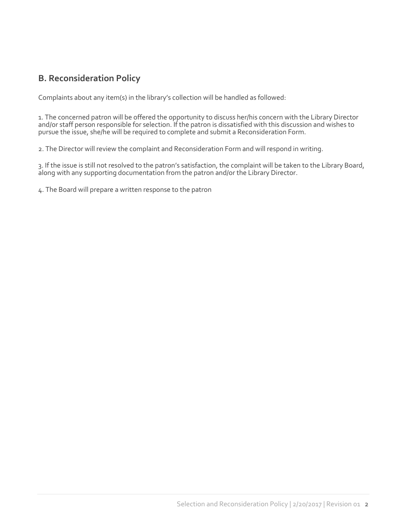### **B. Reconsideration Policy**

Complaints about any item(s) in the library's collection will be handled as followed:

1. The concerned patron will be offered the opportunity to discuss her/his concern with the Library Director and/or staff person responsible for selection. If the patron is dissatisfied with this discussion and wishes to pursue the issue, she/he will be required to complete and submit a Reconsideration Form.

2. The Director will review the complaint and Reconsideration Form and will respond in writing.

3. If the issue is still not resolved to the patron's satisfaction, the complaint will be taken to the Library Board, along with any supporting documentation from the patron and/or the Library Director.

4. The Board will prepare a written response to the patron